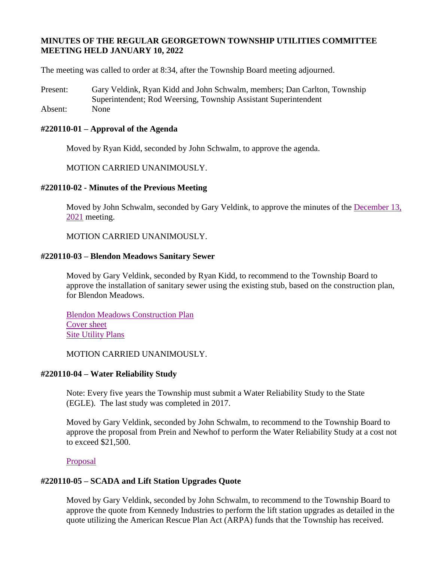# **MINUTES OF THE REGULAR GEORGETOWN TOWNSHIP UTILITIES COMMITTEE MEETING HELD JANUARY 10, 2022**

The meeting was called to order at 8:34, after the Township Board meeting adjourned.

Present: Gary Veldink, Ryan Kidd and John Schwalm, members; Dan Carlton, Township Superintendent; Rod Weersing, Township Assistant Superintendent Absent: None

## **#220110-01 – Approval of the Agenda**

Moved by Ryan Kidd, seconded by John Schwalm, to approve the agenda.

MOTION CARRIED UNANIMOUSLY.

### **#220110-02 - Minutes of the Previous Meeting**

Moved by John Schwalm, seconded by Gary Veldink, to approve the minutes of the [December 13,](https://www.georgetown-mi.gov/AgendaCenter/ViewFile/Item/9022?fileID=78960)  [2021](https://www.georgetown-mi.gov/AgendaCenter/ViewFile/Item/9022?fileID=78960) meeting.

MOTION CARRIED UNANIMOUSLY.

### **#220110-03 – Blendon Meadows Sanitary Sewer**

Moved by Gary Veldink, seconded by Ryan Kidd, to recommend to the Township Board to approve the installation of sanitary sewer using the existing stub, based on the construction plan, for Blendon Meadows.

[Blendon Meadows](https://www.gtwp.com/AgendaCenter/ViewFile/Item/9049?fileID=78986) Construction Plan [Cover sheet](https://www.gtwp.com/AgendaCenter/ViewFile/Item/9049?fileID=78985) [Site Utility Plans](https://www.gtwp.com/AgendaCenter/ViewFile/Item/9049?fileID=78987)

MOTION CARRIED UNANIMOUSLY.

### **#220110-04 – Water Reliability Study**

Note: Every five years the Township must submit a Water Reliability Study to the State (EGLE). The last study was completed in 2017.

Moved by Gary Veldink, seconded by John Schwalm, to recommend to the Township Board to approve the proposal from Prein and Newhof to perform the Water Reliability Study at a cost not to exceed \$21,500.

[Proposal](https://www.gtwp.com/AgendaCenter/ViewFile/Item/9048?fileID=78984)

# **#220110-05 – SCADA and Lift Station Upgrades Quote**

Moved by Gary Veldink, seconded by John Schwalm, to recommend to the Township Board to approve the quote from Kennedy Industries to perform the lift station upgrades as detailed in the quote utilizing the American Rescue Plan Act (ARPA) funds that the Township has received.